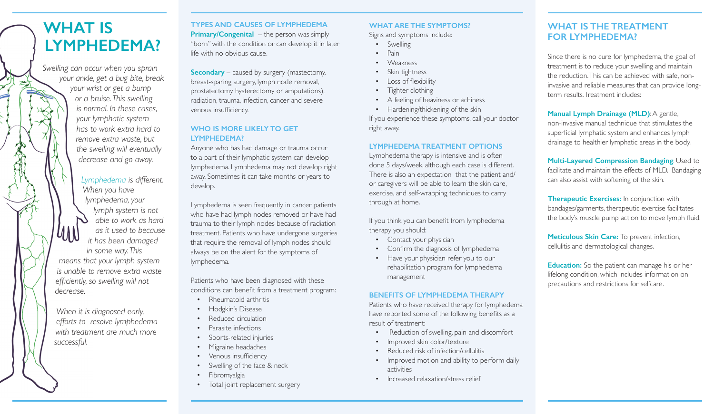## **WHAT IS LYMPHEDEMA?**

*Swelling can occur when you sprain your ankle, get a bug bite, break your wrist or get a bump or a bruise. This swelling is normal. In these cases, your lymphatic system has to work extra hard to remove extra waste, but the swelling will eventually decrease and go away.*

*Lymphedema is different. When you have lymphedema, your lymph system is not able to work as hard as it used to because it has been damaged in some way. This means that your lymph system is unable to remove extra waste efficiently, so swelling will not decrease.*

*When it is diagnosed early, efforts to resolve lymphedema with treatment are much more successful.*

#### **TYPES AND CAUSES OF LYMPHEDEMA**

**Primary/Congenital** – the person was simply "born" with the condition or can develop it in later life with no obvious cause.

**Secondary** – caused by surgery (mastectomy, breast-sparing surgery, lymph node removal, prostatectomy, hysterectomy or amputations), radiation, trauma, infection, cancer and severe venous insufficiency.

#### **WHO IS MORE LIKELY TO GET LYMPHEDEMA?**

Anyone who has had damage or trauma occur to a part of their lymphatic system can develop lymphedema. Lymphedema may not develop right away. Sometimes it can take months or years to develop.

Lymphedema is seen frequently in cancer patients who have had lymph nodes removed or have had trauma to their lymph nodes because of radiation treatment. Patients who have undergone surgeries that require the removal of lymph nodes should always be on the alert for the symptoms of lymphedema.

Patients who have been diagnosed with these conditions can benefit from a treatment program:

- Rheumatoid arthritis
- Hodgkin's Disease
- Reduced circulation
- Parasite infections
- Sports-related injuries
- Migraine headaches
- Venous insufficiency
- Swelling of the face & neck
- **Fibromyalgia**
- Total joint replacement surgery

#### **WHAT ARE THE SYMPTOMS?**

Signs and symptoms include:

- **Swelling**
- Pain
- **Weakness**
- Skin tightness
- Loss of flexibility
- Tighter clothing
- A feeling of heaviness or achiness
- Hardening/thickening of the skin

If you experience these symptoms, call your doctor right away.

#### **LYMPHEDEMA TREATMENT OPTIONS**

Lymphedema therapy is intensive and is often done 5 days/week, although each case is different. There is also an expectation that the patient and/ or caregivers will be able to learn the skin care, exercise, and self-wrapping techniques to carry through at home.

If you think you can benefit from lymphedema therapy you should:

- Contact your physician
- Confirm the diagnosis of lymphedema
- Have your physician refer you to our rehabilitation program for lymphedema management

#### **BENEFITS OF LYMPHEDEMA THERAPY**

Patients who have received therapy for lymphedema have reported some of the following benefits as a result of treatment:

- Reduction of swelling, pain and discomfort
- Improved skin color/texture
- Reduced risk of infection/cellulitis
- Improved motion and ability to perform daily activities
- Increased relaxation/stress relief

## **WHAT IS THE TREATMENT FOR LYMPHEDEMA?**

Since there is no cure for lymphedema, the goal of treatment is to reduce your swelling and maintain the reduction.This can be achieved with safe, noninvasive and reliable measures that can provide longterm results. Treatment includes:

**Manual Lymph Drainage (MLD):** A gentle, non-invasive manual technique that stimulates the superficial lymphatic system and enhances lymph drainage to healthier lymphatic areas in the body.

**Multi-Layered Compression Bandaging**: Used to facilitate and maintain the effects of MLD. Bandaging can also assist with softening of the skin.

**Therapeutic Exercises:** In conjunction with bandages/garments, therapeutic exercise facilitates the body's muscle pump action to move lymph fluid.

**Meticulous Skin Care:** To prevent infection, cellulitis and dermatological changes.

**Education:** So the patient can manage his or her lifelong condition, which includes information on precautions and restrictions for selfcare.